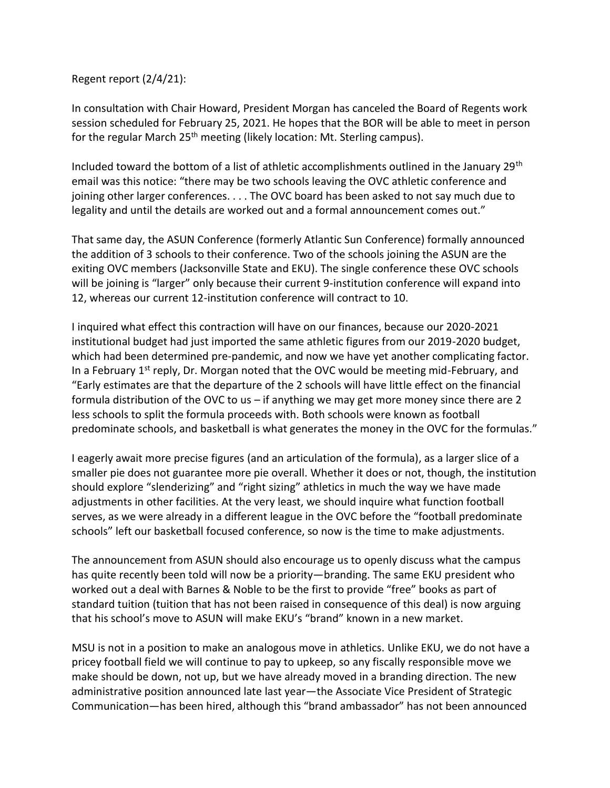Regent report (2/4/21):

In consultation with Chair Howard, President Morgan has canceled the Board of Regents work session scheduled for February 25, 2021. He hopes that the BOR will be able to meet in person for the regular March  $25<sup>th</sup>$  meeting (likely location: Mt. Sterling campus).

Included toward the bottom of a list of athletic accomplishments outlined in the January 29<sup>th</sup> email was this notice: "there may be two schools leaving the OVC athletic conference and joining other larger conferences. . . . The OVC board has been asked to not say much due to legality and until the details are worked out and a formal announcement comes out."

That same day, the ASUN Conference (formerly Atlantic Sun Conference) formally announced the addition of 3 schools to their conference. Two of the schools joining the ASUN are the exiting OVC members (Jacksonville State and EKU). The single conference these OVC schools will be joining is "larger" only because their current 9-institution conference will expand into 12, whereas our current 12-institution conference will contract to 10.

I inquired what effect this contraction will have on our finances, because our 2020-2021 institutional budget had just imported the same athletic figures from our 2019-2020 budget, which had been determined pre-pandemic, and now we have yet another complicating factor. In a February  $1<sup>st</sup>$  reply, Dr. Morgan noted that the OVC would be meeting mid-February, and "Early estimates are that the departure of the 2 schools will have little effect on the financial formula distribution of the OVC to us – if anything we may get more money since there are 2 less schools to split the formula proceeds with. Both schools were known as football predominate schools, and basketball is what generates the money in the OVC for the formulas."

I eagerly await more precise figures (and an articulation of the formula), as a larger slice of a smaller pie does not guarantee more pie overall. Whether it does or not, though, the institution should explore "slenderizing" and "right sizing" athletics in much the way we have made adjustments in other facilities. At the very least, we should inquire what function football serves, as we were already in a different league in the OVC before the "football predominate schools" left our basketball focused conference, so now is the time to make adjustments.

The announcement from ASUN should also encourage us to openly discuss what the campus has quite recently been told will now be a priority—branding. The same EKU president who worked out a deal with Barnes & Noble to be the first to provide "free" books as part of standard tuition (tuition that has not been raised in consequence of this deal) is now arguing that his school's move to ASUN will make EKU's "brand" known in a new market.

MSU is not in a position to make an analogous move in athletics. Unlike EKU, we do not have a pricey football field we will continue to pay to upkeep, so any fiscally responsible move we make should be down, not up, but we have already moved in a branding direction. The new administrative position announced late last year—the Associate Vice President of Strategic Communication—has been hired, although this "brand ambassador" has not been announced